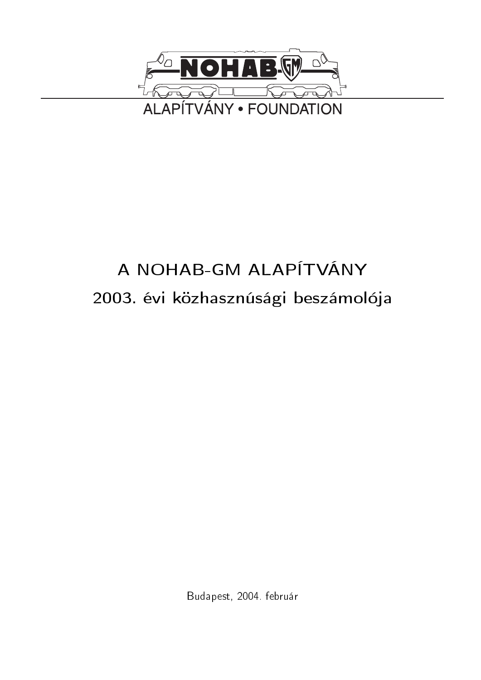

# A NOHAB-GM ALAPÍTVÁNY 2003. évi közhasznúsági beszámolója

Budapest, 2004. február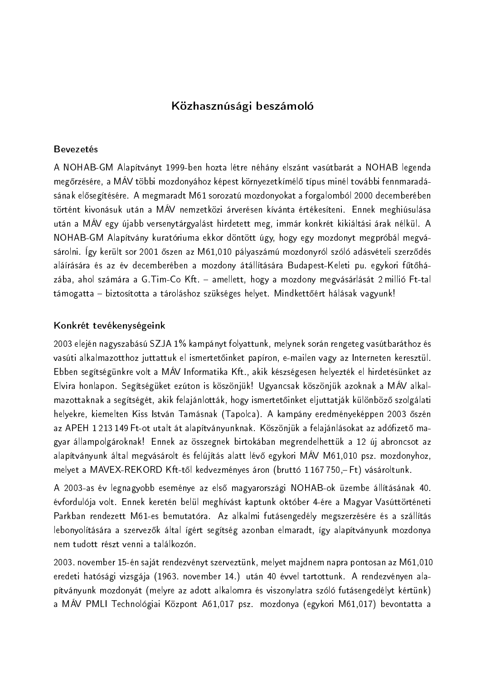## Közhasznúsági beszámoló

#### **Bevezetés**

A NOHAB-GM Alapítványt 1999-ben hozta létre néhány elszánt vasútbarát a NOHAB legenda megőrzésére, a MÁV többi mozdonyához képest környezetkímélő típus minél további fennmaradásának elősegítésére. A megmaradt M61 sorozatú mozdonyokat a forgalomból 2000 decemberében történt kivonásuk után a MÁV nemzetközi árverésen kívánta értékesíteni. Ennek meghiúsulása után a MÁV egy újabb versenytárgyalást hirdetett meg, immár konkrét kikiáltási árak nélkül. A NOHAB-GM Alapítvány kuratóriuma ekkor döntött úgy, hogy egy mozdonyt megpróbál megvásárolni. Így került sor 2001 őszen az M61,010 pályaszámú mozdonyról szóló adásvételi szerződés aláírására és az év decemberében a mozdony átállítására Budapest-Keleti pu. egykori fűtőházába, ahol számára a G. Tim-Co Kft. - amellett, hogy a mozdony megvásárlását 2 millió Ft-tal támogatta – biztosította a tároláshoz szükséges helyet. Mindkettőért hálásak vagyunk!

#### Konkrét tevékenységeink

2003 elején nagyszabású SZJA 1% kampányt folyattunk, melynek során rengeteg vasútbaráthoz és vasúti alkalmazotthoz juttattuk el ismertetőinket papíron, e-mailen vagy az Interneten keresztül. Ebben segítségünkre volt a MÁV Informatika Kft., akik készségesen helyezték el hirdetésünket az Elvira honlapon. Segítségüket ezúton is köszönjük! Ugyancsak köszönjük azoknak a MÁV alkalmazottaknak a segítségét, akik felajánlották, hogy ismertetőinket eljuttatják különböző szolgálati helyekre, kiemelten Kiss István Tamásnak (Tapolca). A kampány eredményeképpen 2003 őszén az APEH 1213 149 Ft-ot utalt át alapítványunknak. Köszönjük a felajánlásokat az adófizető magyar állampolgároknak! Ennek az összegnek birtokában megrendelhettük a 12 új abroncsot az alapítványunk által megvásárolt és felújítás alatt lévő egykori MÁV M61,010 psz. mozdonyhoz, melyet a MAVEX-REKORD Kft-től kedvezményes áron (bruttó 1 167 750,–Ft) vásároltunk.

A 2003-as év legnagyobb eseménye az első magyarországi NOHAB-ok üzembe állításának 40. évfordulója volt. Ennek keretén belül meghívást kaptunk október 4-ére a Magyar Vasúttörténeti Parkban rendezett M61-es bemutatóra. Az alkalmi futásengedély megszerzésére és a szállítás lebonyolítására a szervezők által ígért segítség azonban elmaradt, így alapítványunk mozdonya nem tudott részt venni a találkozón.

2003. november 15-én saját rendezvényt szerveztünk, melyet majdnem napra pontosan az M61,010 eredeti hatósági vizsgája (1963. november 14.) után 40 évvel tartottunk. A rendezvényen alapítványunk mozdonyát (melyre az adott alkalomra és viszonylatra szóló futásengedélyt kértünk) a MÁV PMLI Technológiai Központ A61,017 psz. mozdonya (egykori M61,017) bevontatta a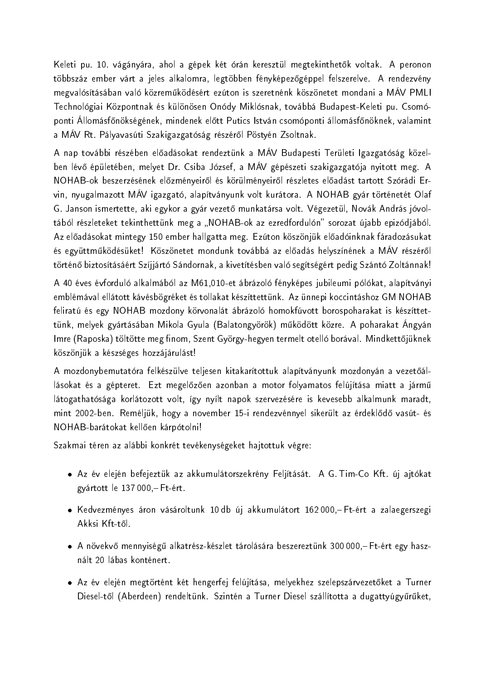Keleti pu. 10. vágányára, ahol a gépek két órán keresztül megtekinthetők voltak. A peronon többszáz ember várt a jeles alkalomra, legtöbben fényképezőgéppel felszerelve. A rendezvény megvalósításában való közreműködésért ezúton is szeretnénk köszönetet mondani a MÁV PMLI Technológiai Központnak és különösen Onódy Miklósnak, továbbá Budapest-Keleti pu. Csomóponti Állomásfőnökségének, mindenek előtt Putics István csomóponti állomásfőnöknek, valamint a MAV Rt. Pályavasúti Szakigazgatóság részéről Pöstyén Zsoltnak.

A nap további részében előadásokat rendeztünk a MÁV Budapesti Területi Igazgatóság közelben lévő épületében, melyet Dr. Csiba József, a MÁV gépészeti szakigazgatója nyitott meg. A NOHAB-ok beszerzésének előzményeiről és körülményeiről részletes előadást tartott Szórádi Ervin, nyugalmazott MÁV igazgató, alapítványunk volt kurátora. A NOHAB gyár történetét Olaf G. Janson ismertette, aki egykor a gyár vezető munkatársa volt. Végezetül, Novák András jóvoltából részleteket tekinthettünk meg a "NOHAB-ok az ezredfordulón" sorozat újabb epizódjából. Az előadásokat mintegy 150 ember hallgatta meg. Ezúton köszönjük előadóinknak fáradozásukat és együttműködésüket! Köszönetet mondunk továbbá az előadás helyszínének a MÁV részéről történő biztosításáért Szíjjártó Sándornak, a kivetítésben való segítségért pedig Szántó Zoltánnak!

A 40 éves évforduló alkalmából az M61,010-et ábrázoló fényképes jubileumi pólókat, alapítványi emblémával ellátott kávésbögréket és tollakat készíttettünk. Az ünnepi koccintáshoz GM NOHAB feliratú és egy NOHAB mozdony körvonalát ábrázoló homokfúvott borospoharakat is készíttettünk, melyek gyártásában Mikola Gyula (Balatongyörök) működött közre. A poharakat Ángyán Imre (Raposka) töltötte meg finom, Szent György-hegyen termelt otelló borával. Mindkettőjüknek köszönjük a készséges hozzájárulást!

A mozdonybemutatóra felkészülve teljesen kitakarítottuk alapítványunk mozdonyán a vezetőállásokat és a gépteret. Ezt megelőzően azonban a motor folyamatos felújítása miatt a jármű látogathatósága korlátozott volt, így nyílt napok szervezésére is kevesebb alkalmunk maradt, mint 2002-ben. Reméljük, hogy a november 15-i rendezvénnyel sikerült az érdeklődő vasút- és NOHAB-barátokat kellően kárpótolni!

Szakmai téren az alábbi konkrét tevékenységeket hajtottuk végre:

- · Az év elején befejeztük az akkumulátorszekrény Feljítását. A G. Tim-Co Kft. új ajtókat gyártott le 137000,-Ft-ért.
- Kedvezményes áron vásároltunk 10db új akkumulátort 162000 Ft-ért a zalaegerszegi Akksi Kft-től.
- · A növekvő mennyiségű alkatrész-készlet tárolására beszereztünk 300 000, Ft-ért egy használt 20 lábas konténert.
- · Az év elején megtörtént két hengerfej felújítása, melyekhez szelepszárvezetőket a Turner Diesel-től (Aberdeen) rendeltünk. Szintén a Turner Diesel szállította a dugattyúgyűrűket,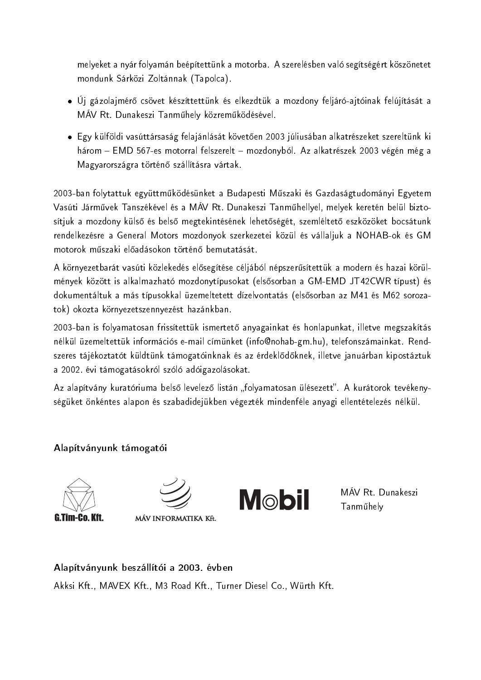melyeket a nyár folyamán beépítettünk a motorba. A szerelésben való segítségért köszönetet mondunk Sárközi Zoltánnak (Tapolca).

- · Új gázolajmérő csövet készíttettünk és elkezdtük a mozdony feljáró-ajtóinak felújítását a MÁV Rt. Dunakeszi Tanműhely közreműködésével.
- Egy külföldi vasúttársaság felajánlását követően 2003 júliusában alkatrészeket szereltünk ki három – EMD 567-es motorral felszerelt – mozdonyból. Az alkatrészek 2003 végén még a Magyarországra történő szállításra vártak.

2003-ban folytattuk együttműködésünket a Budapesti Műszaki és Gazdaságtudományi Egyetem Vasúti Járművek Tanszékével és a MÁV Rt. Dunakeszi Tanműhellyel, melyek keretén belül biztosítjuk a mozdony külső és belső megtekintésének lehetőségét, szemléltető eszközöket bocsátunk rendelkezésre a General Motors mozdonyok szerkezetei közül és vállaljuk a NOHAB-ok és GM motorok műszaki előadásokon történő bemutatását.

A környezetbarát vasúti közlekedés elősegítése céljából népszerűsítettük a modern és hazai körülmények között is alkalmazható mozdonytípusokat (elsősorban a GM-EMD JT42CWR típust) és dokumentáltuk a más típusokkal üzemeltetett dízelvontatás (elsősorban az M41 és M62 sorozatok) okozta környezetszennyezést hazánkban.

2003-ban is folyamatosan frissítettük ismertető anyagainkat és honlapunkat, illetve megszakítás nélkül üzemeltettük információs e-mail címünket (info@nohab-gm.hu), telefonszámainkat. Rendszeres tájékoztatót küldtünk támogatóinknak és az érdeklődőknek, illetve januárban kipostáztuk a 2002. évi támogatásokról szóló adóigazolásokat.

Az alapítvány kuratóriuma belső levelező listán "folyamatosan ülésezett". A kurátorok tevékenységüket önkéntes alapon és szabadidejükben végezték mindenféle anyagi ellentételezés nélkül.

### Alapítványunk támogatói





MÁV INFORMATIKA Kft.



MÁV Rt. Dunakeszi Tanműhely

Alapítványunk beszállítói a 2003. évben Akksi Kft., MAVEX Kft., M3 Road Kft., Turner Diesel Co., Würth Kft.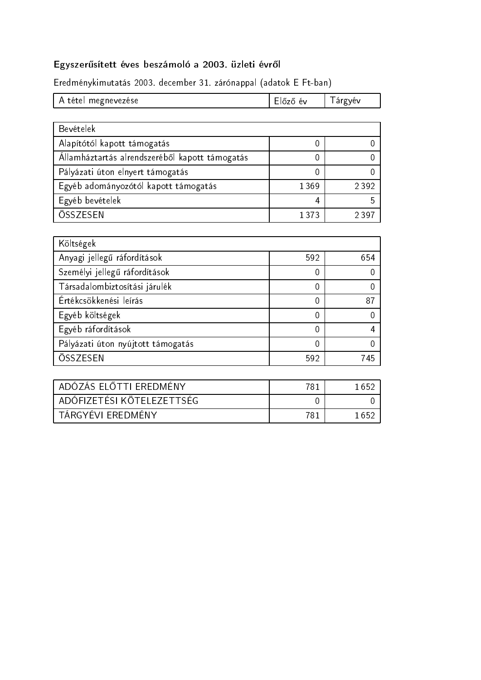## Egyszerűsített éves beszámoló a 2003. üzleti évről

Eredménykimutatás 2003. december 31. zárónappal (adatok E Ft-ban)

| A tétel megnevezése | l Előző év | l árgyév |
|---------------------|------------|----------|
|---------------------|------------|----------|

| Bevételek                                      |         |       |
|------------------------------------------------|---------|-------|
| Alapítótól kapott támogatás                    |         |       |
| Államháztartás alrendszeréből kapott támogatás |         |       |
| Pályázati úton elnyert támogatás               | 0       |       |
| Egyéb adományozótól kapott támogatás           | 1369    | 2392  |
| Egyéb bevételek                                | 4       |       |
| ÖSSZESEN                                       | 1 3 7 3 | 2.30. |

| Költségek                         |     |     |
|-----------------------------------|-----|-----|
| Anyagi jellegű ráfordítások       | 592 | 654 |
| Személyi jellegű ráfordítások     | 0   |     |
| Társadalombiztosítási járulék     | 0   |     |
| Értékcsökkenési leírás            | 0   | 87  |
| Egyéb költségek                   | 0   |     |
| Egyéb ráfordítások                | 0   |     |
| Pályázati úton nyújtott támogatás | 0   |     |
| ÖSSZESEN                          | 592 | 745 |

| ADÓZÁS ELŐTTI EREDMÉNY                 | 781 | 1 652 |
|----------------------------------------|-----|-------|
| <sup>'</sup> ADÓFIZETÉSI KÖTELEZETTSÉG |     |       |
| TÁRGYÉVI EREDMÉNY                      | 781 | 1 652 |